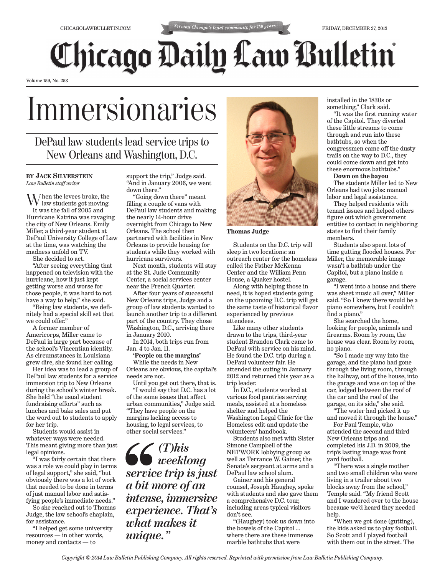## **Chicago Daily Law Bulletin**

Volume 159, No. 253

## Immersionaries

DePaul law students lead service trips to New Orleans and Washington, D.C.

**BY JACK SILVERSTEIN** *Law Bulletin staff writer*

When the levees broke, the<br>law students got moving. It was the fall of 2005 and Hurricane Katrina was ravaging the city of New Orleans. Emily Miller, a third-year student at DePaul University College of Law at the time, was watching the madness unfold on TV.

She decided to act.

"After seeing everything that happened on television with the hurricane, how it just kept getting worse and worse for those people, it was hard to not have a way to help," she said.

"Being law students, we definitely had a special skill set that we could offer."

A former member of Americorps, Miller came to DePaul in large part because of the school's Vincentian identity. As circumstances in Louisiana grew dire, she found her calling.

Her idea was to lead a group of DePaul law students for a service immersion trip to New Orleans during the school's winter break. She held "the usual student fundraising efforts" such as lunches and bake sales and put the word out to students to apply for her trip.

Students would assist in whatever ways were needed. This meant giving more than just legal opinions.

"I was fairly certain that there was a role we could play in terms of legal support," she said, "but obviously there was a lot of work that needed to be done in terms of just manual labor and satisfying people's immediate needs."

So she reached out to Thomas Judge, the law school's chaplain, for assistance.

"I helped get some university resources — in other words, money and contacts — to

support the trip," Judge said. "And in January 2006, we went down there."

"Going down there" meant filling a couple of vans with DePaul law students and making the nearly 14-hour drive overnight from Chicago to New Orleans. The school then partnered with facilities in New Orleans to provide housing for students while they worked with hurricane survivors.

Next month, students will stay at the St. Jude Community Center, a social services center near the French Quarter.

After four years of successful New Orleans trips, Judge and a group of law students wanted to launch another trip to a different part of the country. They chose Washington, D.C., arriving there in January 2010.

In 2014, both trips run from Jan. 4 to Jan. 11.

**'People on the margins'** While the needs in New Orleans are obvious, the capital's

needs are not. Until you get out there, that is. "I would say that D.C. has a lot of the same issues that affect urban communities," Judge said. "They have people on the margins lacking access to housing, to legal services, to other social services."

*(T)his weeklong service trip is just a bit more of an intense, immersive experience. That's what makes it unique."*



**Thomas Judge**

Students on the D.C. trip will sleep in two locations: an outreach center for the homeless called the Father McKenna Center and the William Penn House, a Quaker hostel.

Along with helping those in need, it is hoped students going on the upcoming D.C. trip will get the same taste of historical flavor experienced by previous attendees.

Like many other students drawn to the trips, third-year student Brandon Clark came to DePaul with service on his mind. He found the D.C. trip during a DePaul volunteer fair. He attended the outing in January 2012 and returned this year as a trip leader.

In D.C., students worked at various food pantries serving meals, assisted at a homeless shelter and helped the Washington Legal Clinic for the Homeless edit and update the volunteers' handbook.

Students also met with Sister Simone Campbell of the NETWORK lobbying group as well as Terrance W. Gainer, the Senate's sergeant at arms and a DePaul law school alum.

Gainer and his general counsel, Joseph Haughey, spoke with students and also gave them a comprehensive D.C. tour, including areas typical visitors don't see.

"(Haughey) took us down into the bowels of the Capitol ... where there are these immense marble bathtubs that were

installed in the 1830s or something," Clark said.

"It was the first running water of the Capitol. They diverted these little streams to come through and run into these bathtubs, so when the congressmen came off the dusty trails on the way to D.C., they could come down and get into these enormous bathtubs."

**Down on the bayou**

The students Miller led to New Orleans had two jobs: manual labor and legal assistance.

They helped residents with tenant issues and helped others figure out which government entities to contact in neighboring states to find their family members.

Students also spent lots of time gutting flooded houses. For Miller, the memorable image wasn't a bathtub under the Capitol, but a piano inside a garage.

"I went into a house and there was sheet music all over," Miller said. "So I knew there would be a piano somewhere, but I couldn't find a piano."

She searched the home, looking for people, animals and firearms. Room by room, the house was clear. Room by room, no piano.

"So I made my way into the garage, and the piano had gone through the living room, through the hallway, out of the house, into the garage and was on top of the car, lodged between the roof of the car and the roof of the garage, on its side," she said.

"The water had picked it up and moved it through the house."

For Paul Temple, who attended the second and third New Orleans trips and completed his J.D. in 2009, the trip's lasting image was front yard football.

"There was a single mother and two small children who were living in a trailer about two blocks away from the school," Temple said. "My friend Scott and I wandered over to the house because we'd heard they needed help.

"When we got done (gutting), the kids asked us to play football. So Scott and I played football with them out in the street. The